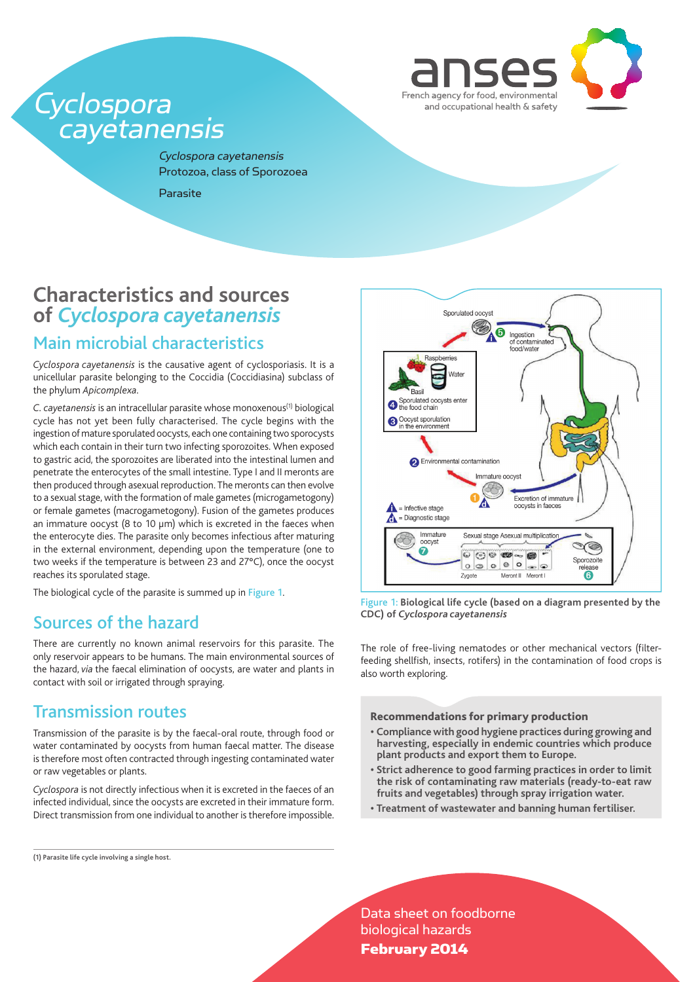

# Cyclospora<br>cayetanensis

Cyclospora cayetanensis Protozoa, class of Sporozoea

**Parasite** 

# **Characteristics and sources of** *Cyclospora cayetanensis*

## Main microbial characteristics

*Cyclospora cayetanensis* is the causative agent of cyclosporiasis. It is a unicellular parasite belonging to the Coccidia (Coccidiasina) subclass of the phylum *Apicomplexa*.

*C. cayetanensis* is an intracellular parasite whose monoxenous(1) biological cycle has not yet been fully characterised. The cycle begins with the ingestion of mature sporulated oocysts, each one containing two sporocysts which each contain in their turn two infecting sporozoites. When exposed to gastric acid, the sporozoites are liberated into the intestinal lumen and penetrate the enterocytes of the small intestine. Type I and II meronts are then produced through asexual reproduction. The meronts can then evolve to a sexual stage, with the formation of male gametes (microgametogony) or female gametes (macrogametogony). Fusion of the gametes produces an immature oocyst (8 to 10 µm) which is excreted in the faeces when the enterocyte dies. The parasite only becomes infectious after maturing in the external environment, depending upon the temperature (one to two weeks if the temperature is between 23 and 27°C), once the oocyst reaches its sporulated stage.

The biological cycle of the parasite is summed up in Figure 1.

## Sources of the hazard

There are currently no known animal reservoirs for this parasite. The only reservoir appears to be humans. The main environmental sources of the hazard, *via* the faecal elimination of oocysts, are water and plants in contact with soil or irrigated through spraying.

## Transmission routes

Transmission of the parasite is by the faecal-oral route, through food or water contaminated by oocysts from human faecal matter. The disease is therefore most often contracted through ingesting contaminated water or raw vegetables or plants.

*Cyclospora* is not directly infectious when it is excreted in the faeces of an infected individual, since the oocysts are excreted in their immature form. Direct transmission from one individual to another is therefore impossible.

**(1) Parasite life cycle involving a single host.**



Figure 1: **Biological life cycle (based on a diagram presented by the CDC) of** *Cyclospora cayetanensis*

The role of free-living nematodes or other mechanical vectors (filterfeeding shellfish, insects, rotifers) in the contamination of food crops is also worth exploring.

#### Recommendations for primary production

- **Compliance with good hygiene practices during growing and harvesting, especially in endemic countries which produce plant products and export them to Europe.**
- **Strict adherence to good farming practices in order to limit the risk of contaminating raw materials (ready-to-eat raw fruits and vegetables) through spray irrigation water.**
- **Treatment of wastewater and banning human fertiliser.**

Data sheet on foodborne biological hazards February 2014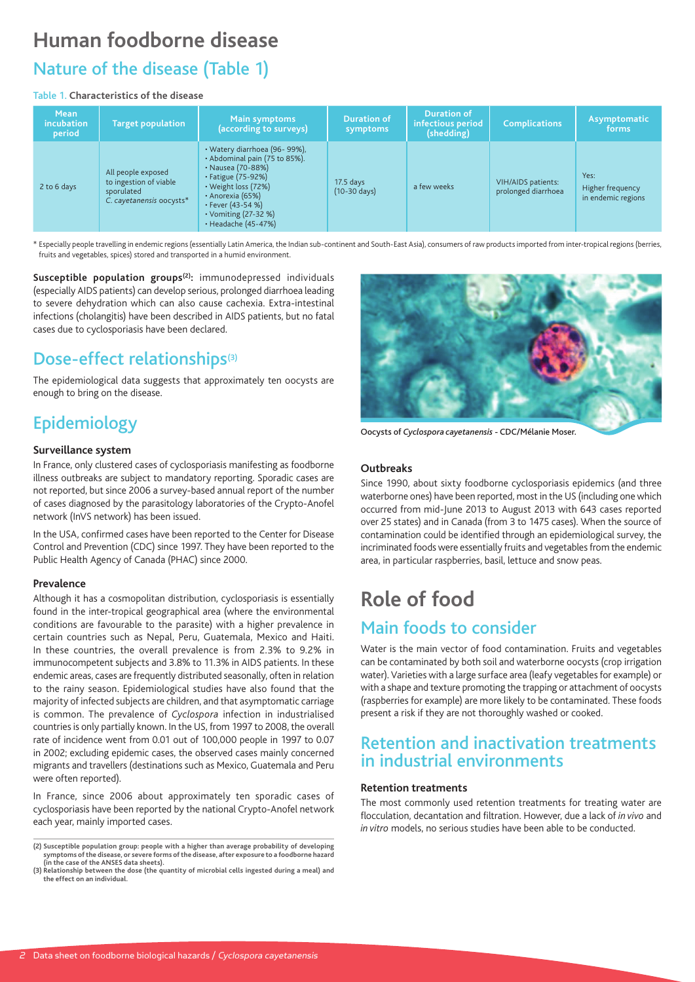# **Human foodborne disease** Nature of the disease (Table 1)

## Table 1. **Characteristics of the disease**

| <b>Mean</b><br><i>incubation</i><br>period | <b>Target population</b>                                                               | Main symptoms<br>(according to surveys)                                                                                                                                                                                             | <b>Duration of</b><br>symptoms        | <b>Duration of</b><br>infectious period<br>(shedding) | <b>Complications</b>                             | Asymptomatic<br>forms                          |
|--------------------------------------------|----------------------------------------------------------------------------------------|-------------------------------------------------------------------------------------------------------------------------------------------------------------------------------------------------------------------------------------|---------------------------------------|-------------------------------------------------------|--------------------------------------------------|------------------------------------------------|
| 2 to 6 days                                | All people exposed<br>to ingestion of viable<br>sporulated<br>C. cayetanensis oocysts* | · Watery diarrhoea (96-99%),<br>· Abdominal pain (75 to 85%).<br>• Nausea (70-88%)<br>• Fatigue (75-92%)<br>$\cdot$ Weight loss (72%)<br>· Anorexia (65%)<br>$\cdot$ Fever (43-54 %)<br>• Vomiting (27-32 %)<br>· Headache (45-47%) | $17.5$ days<br>$(10-30 \text{ days})$ | a few weeks                                           | <b>VIH/AIDS</b> patients:<br>prolonged diarrhoea | Yes:<br>Higher frequency<br>in endemic regions |

\* Especially people travelling in endemic regions (essentially Latin America, the Indian sub-continent and South-East Asia), consumers of raw products imported from inter-tropical regions (berries, fruits and vegetables, spices) stored and transported in a humid environment.

Susceptible population groups<sup>(2)</sup>: immunodepressed individuals (especially AIDS patients) can develop serious, prolonged diarrhoea leading to severe dehydration which can also cause cachexia. Extra-intestinal infections (cholangitis) have been described in AIDS patients, but no fatal cases due to cyclosporiasis have been declared.

## Dose-effect relationships<sup>(3)</sup>

The epidemiological data suggests that approximately ten oocysts are enough to bring on the disease.

# Epidemiology

## **Surveillance system**

In France, only clustered cases of cyclosporiasis manifesting as foodborne illness outbreaks are subject to mandatory reporting. Sporadic cases are not reported, but since 2006 a survey-based annual report of the number of cases diagnosed by the parasitology laboratories of the Crypto-Anofel network (InVS network) has been issued.

In the USA, confirmed cases have been reported to the Center for Disease Control and Prevention (CDC) since 1997. They have been reported to the Public Health Agency of Canada (PHAC) since 2000.

## **Prevalence**

Although it has a cosmopolitan distribution, cyclosporiasis is essentially found in the inter-tropical geographical area (where the environmental conditions are favourable to the parasite) with a higher prevalence in certain countries such as Nepal, Peru, Guatemala, Mexico and Haiti. In these countries, the overall prevalence is from 2.3% to 9.2% in immunocompetent subjects and 3.8% to 11.3% in AIDS patients. In these endemic areas, cases are frequently distributed seasonally, often in relation to the rainy season. Epidemiological studies have also found that the majority of infected subjects are children, and that asymptomatic carriage is common. The prevalence of *Cyclospora* infection in industrialised countries is only partially known. In the US, from 1997 to 2008, the overall rate of incidence went from 0.01 out of 100,000 people in 1997 to 0.07 in 2002; excluding epidemic cases, the observed cases mainly concerned migrants and travellers (destinations such as Mexico, Guatemala and Peru were often reported).

In France, since 2006 about approximately ten sporadic cases of cyclosporiasis have been reported by the national Crypto-Anofel network each year, mainly imported cases.



Oocysts of *Cyclospora cayetanensis* - CDC/Mélanie Moser.

## **Outbreaks**

Since 1990, about sixty foodborne cyclosporiasis epidemics (and three waterborne ones) have been reported, most in the US (including one which occurred from mid-June 2013 to August 2013 with 643 cases reported over 25 states) and in Canada (from 3 to 1475 cases). When the source of contamination could be identified through an epidemiological survey, the incriminated foods were essentially fruits and vegetables from the endemic area, in particular raspberries, basil, lettuce and snow peas*.*

# **Role of food** Main foods to consider

Water is the main vector of food contamination. Fruits and vegetables can be contaminated by both soil and waterborne oocysts (crop irrigation water). Varieties with a large surface area (leafy vegetables for example) or with a shape and texture promoting the trapping or attachment of oocysts (raspberries for example) are more likely to be contaminated. These foods present a risk if they are not thoroughly washed or cooked.

## Retention and inactivation treatments in industrial environments

## **Retention treatments**

The most commonly used retention treatments for treating water are flocculation, decantation and filtration. However, due a lack of *in vivo* and *in vitro* models, no serious studies have been able to be conducted.

**<sup>(2)</sup> Susceptible population group: people with a higher than average probability of developing symptoms of the disease, or severe forms of the disease, after exposure to a foodborne hazard (in the case of the ANSES data sheets).**

**<sup>(3)</sup> Relationship between the dose (the quantity of microbial cells ingested during a meal) and the effect on an individual.**